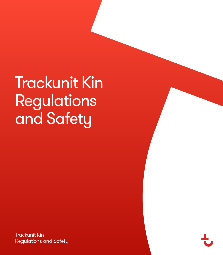Trackunit Kin Regulations and Safety

Trackunit Kin Regulations and Safety

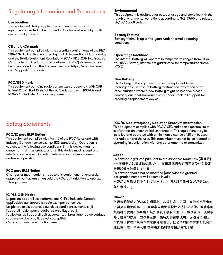# Regulatory Information and Precautions

#### **Use Location**

This equipment design applies to commercial or industrial equipment expected to be installed in locations where only adults are normally present.

# **CE and UKCA mark**

This equipment complies with the essential requirements of the RED 2014/53/EU directive as stated by the EU Declaration of Conformity and the Radio Equipment Regulations 2017 – UK SI 2017 No. 1206. EU Certificate and Declaration of conformity (DOC) statements can be downloaded from the Trackunit website: https://www.trackunit. com/support/download/

### **FCC/ISED mark**

This equipment contains radio transmitters that comply with CFR 47 Part 2.1091, Part 15.247 of the FCC rules and with RSS-102 and RSS-247 of Industry Canada requirements.

# Safety Statements

#### **FCC/IC part 15.19 Notice**

This equipment complies with Part 15 of the FCC Rules and with Industry Canada license-exempt RSS standard(s). Operation is subject to the following two conditions: (1) this device may not cause harmful interference, and (2) this device must accept any interference received, including interference that may cause undesired operation.

#### **FCC part 15.21 Notice**

Changes or modifications made to this equipment not expressly approved by Trackunit may void the FCC authorization to operate this equip¬ment.

### **IC RSS-GEN Notice**

Le présent appareil est conforme aux CNR d'Industrie Canada applicables aux appareils radio exempts de licence. L'exploitation est autorisée aux deux conditions suivantes: (1) l'appareil ne doit pas produire de brouillage, et (2) l'utilisateur de l'appareil doit accepter tout brouillage radioélectrique

subi, même si le brouillage est susceptible

d'en compromettre le fonctionnement.

# **Environmental**

This equipment is designed for outdoor usage and complies with the rough environmental conditions according to SAE J1455 and related EN/IEC 60068 series.

#### **Battery Lifetime**

Battery lifetime is up to five years under normal operating conditions.

#### **Operating Conditions**

The internal battery will operate in temperature ranges from -40oC to +85°C. Battery lifetime not guaranteed for temperatures above +70°C

#### **New Battery**

The battery in this equipment is neither replaceable nor rechargeable. In case of battery malfunction, expiration or any other situation where a new battery might be needed, please contact your local Trackunit distributor or Trackunit support for ordering a replacement device.

#### **FCC/IC Radiofrequency Radiation Exposure Information**

This equipment complies with FCC / ISED radiation exposure limits set forth for an uncontrolled environment. This equipment may be installed and operated with a minimum distance of 20 cm between the radiator and the user. This transmitter must not be co-located or operating in conjunction with any other antenna or transmitter.

#### **Japan**

This device is granted pursuant to the Japanese Radio Law (電波法) =当該機器には電波法に基づく、技術基準適合証明等を受けた特定

# 無線設備を装着している

This device should not be modified (otherwise the granted designation number will become invalid)

本製品の改造は禁止されています。(適合証明番号などが無効と なります。)

#### **Taiwan**

取得審驗證明之低功率射頻器材,非經核准,公司、商號或使用者均 不得擅自變更頻率、加 大功率或變更原設計之特性及功能。低功率射 頻器材之使用不得影響飛航安全及干擾合法通 信;經發現有干擾現象 時,應立即停用,並改善至無干擾時方得繼續使用。前述合法通信, 指依電信管理法規定作業之無線電通信。低功率射頻器材須忍受合法 通信或工業 科學及醫 療用雷波輻射性雷機設備之干擾.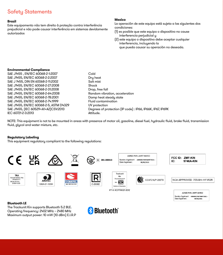# Safety Statements

# **Brazil**

Este equipamento não tem direito à proteção contra interferência prejudicial e não pode causar interferência em sistemas devidamente autorizados

# **Mexico**

La operación de este equipo está sujeta a las siguientes dos condiciones:

- (1) es posible que este equipo o dispositivo no cause interferencia perjudicial y
- (2) este equipo o dispositivo debe aceptar cualquier interferencia, incluyendo la que pueda causar su operación no deseada.

### **Environmental Compliance**

SAE J1455 , EN/IEC 60068-2-1:2007 Cold SAE J1455, EN/IEC 60068-2-2:2007<br>SAE J 1455. DIN EN 60068-2-11:2002<br>Dramatic Dramatic Salt mist SAE J 1455, DIN EN 60068-2-11:2002 SAE J1455, EN/IEC 60068-2-27:2008 Shock SAE J1455, EN/IEC 60068-2-31:2008<br>SAE J1455, EN/IEC 60068-2-64-2008 DROM DROM Random vibration, acceleration SAE J1455, EN/IEC 60068-2-64:2008 SAE J1455, EN/IEC 60068-2-78:2001 Damp heat steady state SAE J1455, EN/IEC 60068-2-74:1999<br>SAE J1455, EN/IEC 60068-2-5, ASTM D4329 Fluid contaction SAE J1455, EN/IEC 60068-2-5, ASTM D4329<br>SAE J1455, (IEC 60529+A1+A2)CSV:2013 IEC 60721-2-3:2013 Attitude.

Degrees of protection (IP code) : IP66, IP66K, IP67, IP69K

NOTE: This equipment is not to be mounted in areas with presence of motor oil, gasoline, diesel fuel, hydraulic fluid, brake fluid, transmission fluid, glycol and water mixture, etc.

# **Regulatory Labeling**

This equipment regulatory compliant to the following regulations: